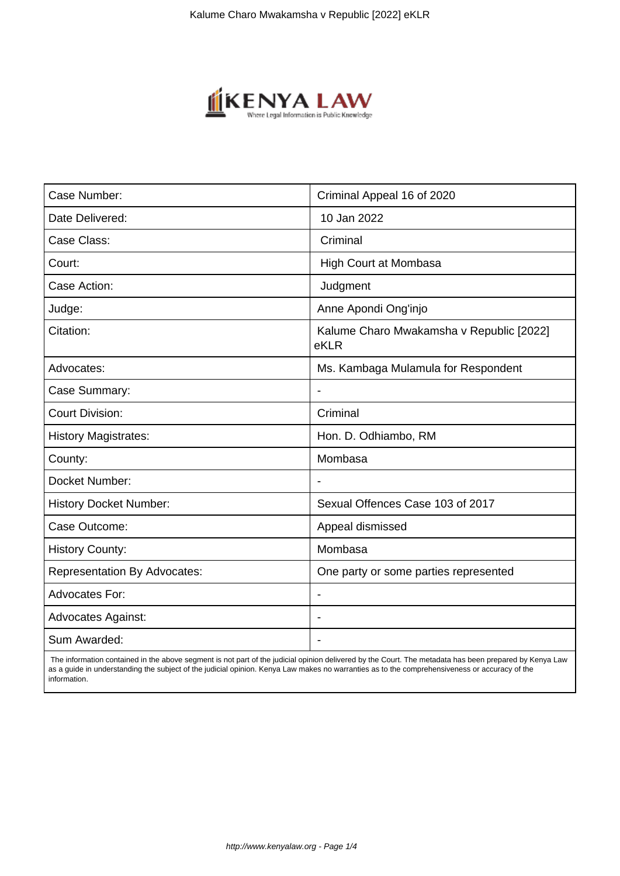

| Case Number:                        | Criminal Appeal 16 of 2020                       |
|-------------------------------------|--------------------------------------------------|
| Date Delivered:                     | 10 Jan 2022                                      |
| Case Class:                         | Criminal                                         |
| Court:                              | High Court at Mombasa                            |
| Case Action:                        | Judgment                                         |
| Judge:                              | Anne Apondi Ong'injo                             |
| Citation:                           | Kalume Charo Mwakamsha v Republic [2022]<br>eKLR |
| Advocates:                          | Ms. Kambaga Mulamula for Respondent              |
| Case Summary:                       |                                                  |
| <b>Court Division:</b>              | Criminal                                         |
| <b>History Magistrates:</b>         | Hon. D. Odhiambo, RM                             |
| County:                             | Mombasa                                          |
| Docket Number:                      |                                                  |
| <b>History Docket Number:</b>       | Sexual Offences Case 103 of 2017                 |
| Case Outcome:                       | Appeal dismissed                                 |
| <b>History County:</b>              | Mombasa                                          |
| <b>Representation By Advocates:</b> | One party or some parties represented            |
| <b>Advocates For:</b>               | $\overline{\phantom{a}}$                         |
| <b>Advocates Against:</b>           |                                                  |
| Sum Awarded:                        |                                                  |

 The information contained in the above segment is not part of the judicial opinion delivered by the Court. The metadata has been prepared by Kenya Law as a guide in understanding the subject of the judicial opinion. Kenya Law makes no warranties as to the comprehensiveness or accuracy of the information.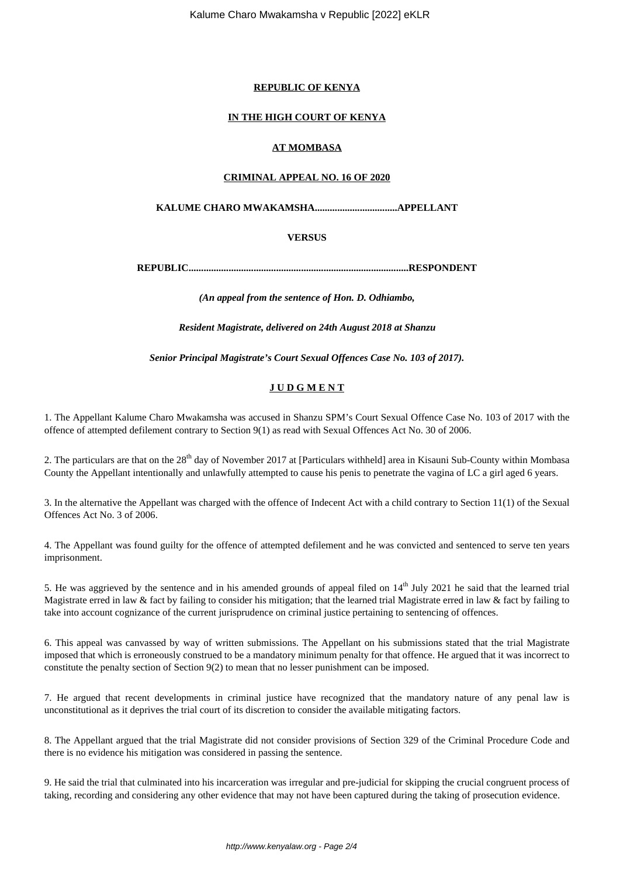#### **REPUBLIC OF KENYA**

# **IN THE HIGH COURT OF KENYA**

# **AT MOMBASA**

# **CRIMINAL APPEAL NO. 16 OF 2020**

# **KALUME CHARO MWAKAMSHA.................................APPELLANT**

# **VERSUS**

**REPUBLIC........................................................................................RESPONDENT**

*(An appeal from the sentence of Hon. D. Odhiambo,*

*Resident Magistrate, delivered on 24th August 2018 at Shanzu*

*Senior Principal Magistrate's Court Sexual Offences Case No. 103 of 2017).*

# **J U D G M E N T**

1. The Appellant Kalume Charo Mwakamsha was accused in Shanzu SPM's Court Sexual Offence Case No. 103 of 2017 with the offence of attempted defilement contrary to Section 9(1) as read with Sexual Offences Act No. 30 of 2006.

2. The particulars are that on the 28<sup>th</sup> day of November 2017 at [Particulars withheld] area in Kisauni Sub-County within Mombasa County the Appellant intentionally and unlawfully attempted to cause his penis to penetrate the vagina of LC a girl aged 6 years.

3. In the alternative the Appellant was charged with the offence of Indecent Act with a child contrary to Section 11(1) of the Sexual Offences Act No. 3 of 2006.

4. The Appellant was found guilty for the offence of attempted defilement and he was convicted and sentenced to serve ten years imprisonment.

5. He was aggrieved by the sentence and in his amended grounds of appeal filed on  $14<sup>th</sup>$  July 2021 he said that the learned trial Magistrate erred in law & fact by failing to consider his mitigation; that the learned trial Magistrate erred in law & fact by failing to take into account cognizance of the current jurisprudence on criminal justice pertaining to sentencing of offences.

6. This appeal was canvassed by way of written submissions. The Appellant on his submissions stated that the trial Magistrate imposed that which is erroneously construed to be a mandatory minimum penalty for that offence. He argued that it was incorrect to constitute the penalty section of Section 9(2) to mean that no lesser punishment can be imposed.

7. He argued that recent developments in criminal justice have recognized that the mandatory nature of any penal law is unconstitutional as it deprives the trial court of its discretion to consider the available mitigating factors.

8. The Appellant argued that the trial Magistrate did not consider provisions of Section 329 of the Criminal Procedure Code and there is no evidence his mitigation was considered in passing the sentence.

9. He said the trial that culminated into his incarceration was irregular and pre-judicial for skipping the crucial congruent process of taking, recording and considering any other evidence that may not have been captured during the taking of prosecution evidence.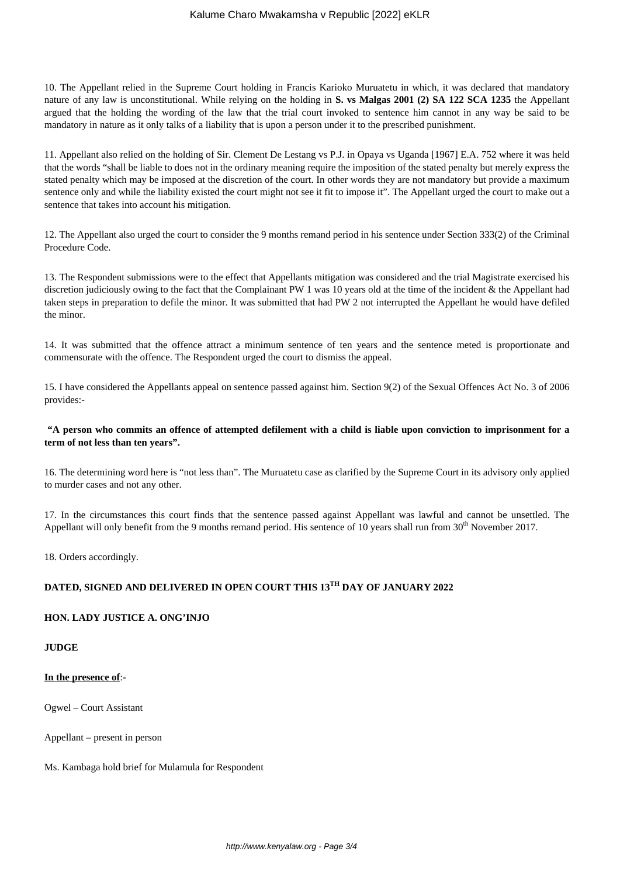10. The Appellant relied in the Supreme Court holding in Francis Karioko Muruatetu in which, it was declared that mandatory nature of any law is unconstitutional. While relying on the holding in **S. vs Malgas 2001 (2) SA 122 SCA 1235** the Appellant argued that the holding the wording of the law that the trial court invoked to sentence him cannot in any way be said to be mandatory in nature as it only talks of a liability that is upon a person under it to the prescribed punishment.

11. Appellant also relied on the holding of Sir. Clement De Lestang vs P.J. in Opaya vs Uganda [1967] E.A. 752 where it was held that the words "shall be liable to does not in the ordinary meaning require the imposition of the stated penalty but merely express the stated penalty which may be imposed at the discretion of the court. In other words they are not mandatory but provide a maximum sentence only and while the liability existed the court might not see it fit to impose it". The Appellant urged the court to make out a sentence that takes into account his mitigation.

12. The Appellant also urged the court to consider the 9 months remand period in his sentence under Section 333(2) of the Criminal Procedure Code.

13. The Respondent submissions were to the effect that Appellants mitigation was considered and the trial Magistrate exercised his discretion judiciously owing to the fact that the Complainant PW 1 was 10 years old at the time of the incident & the Appellant had taken steps in preparation to defile the minor. It was submitted that had PW 2 not interrupted the Appellant he would have defiled the minor.

14. It was submitted that the offence attract a minimum sentence of ten years and the sentence meted is proportionate and commensurate with the offence. The Respondent urged the court to dismiss the appeal.

15. I have considered the Appellants appeal on sentence passed against him. Section 9(2) of the Sexual Offences Act No. 3 of 2006 provides:-

#### **"A person who commits an offence of attempted defilement with a child is liable upon conviction to imprisonment for a term of not less than ten years".**

16. The determining word here is "not less than". The Muruatetu case as clarified by the Supreme Court in its advisory only applied to murder cases and not any other.

17. In the circumstances this court finds that the sentence passed against Appellant was lawful and cannot be unsettled. The Appellant will only benefit from the 9 months remand period. His sentence of 10 years shall run from  $30<sup>th</sup>$  November 2017.

18. Orders accordingly.

# **DATED, SIGNED AND DELIVERED IN OPEN COURT THIS 13TH DAY OF JANUARY 2022**

#### **HON. LADY JUSTICE A. ONG'INJO**

**JUDGE**

#### **In the presence of**:-

Ogwel – Court Assistant

Appellant – present in person

Ms. Kambaga hold brief for Mulamula for Respondent